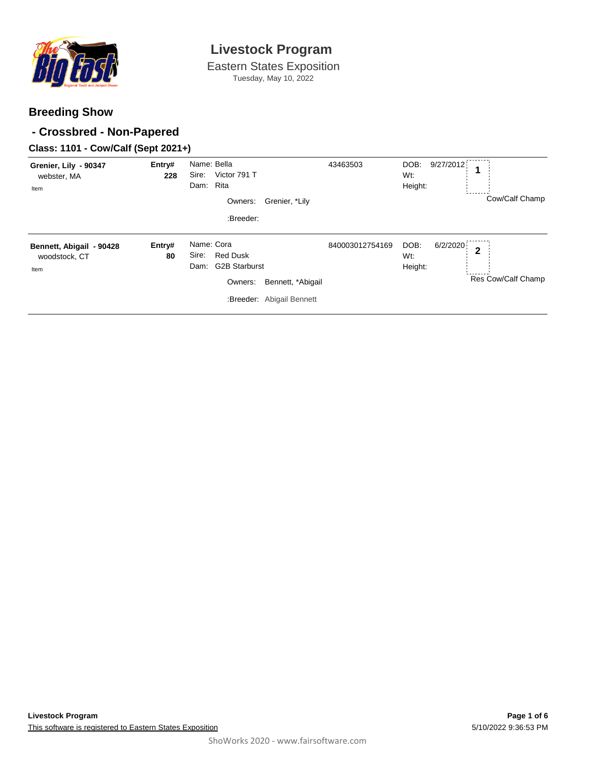

Eastern States Exposition Tuesday, May 10, 2022

## **Breeding Show**

## **- Crossbred - Non-Papered**

## **Class: 1101 - Cow/Calf (Sept 2021+)**

| Grenier, Lily - 90347<br>webster, MA<br>Item      | Entry#<br>228 | Name: Bella<br>Victor 791 T<br>Sire:<br>Rita<br>Dam:<br>Owners:<br>Grenier, *Lily<br>:Breeder:                                      | 43463503        | 9/27/2012<br>DOB:<br>Wt:<br>Height:                | Cow/Calf Champ     |
|---------------------------------------------------|---------------|-------------------------------------------------------------------------------------------------------------------------------------|-----------------|----------------------------------------------------|--------------------|
| Bennett, Abigail - 90428<br>woodstock, CT<br>Item | Entry#<br>80  | Name: Cora<br><b>Red Dusk</b><br>Sire:<br><b>G2B Starburst</b><br>Dam:<br>Owners:<br>Bennett, *Abigail<br>:Breeder: Abigail Bennett | 840003012754169 | 6/2/2020<br>DOB:<br>$\mathbf{2}$<br>Wt:<br>Height: | Res Cow/Calf Champ |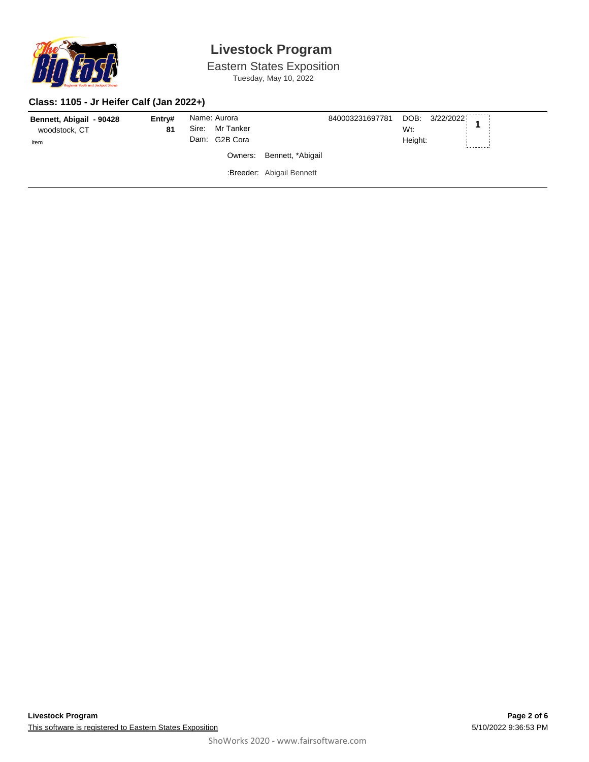

Eastern States Exposition Tuesday, May 10, 2022

#### **Class: 1105 - Jr Heifer Calf (Jan 2022+)**

| Entry#<br>Bennett, Abigail - 90428<br>81<br>woodstock, CT<br>Item | Name: Aurora<br>Sire: Mr Tanker<br>Dam: G2B Cora |                           | 840003231697781 DOB: 3/22/2022<br>Wt:<br>Height: |  |
|-------------------------------------------------------------------|--------------------------------------------------|---------------------------|--------------------------------------------------|--|
|                                                                   |                                                  | Owners: Bennett, *Abigail |                                                  |  |
|                                                                   |                                                  | :Breeder: Abigail Bennett |                                                  |  |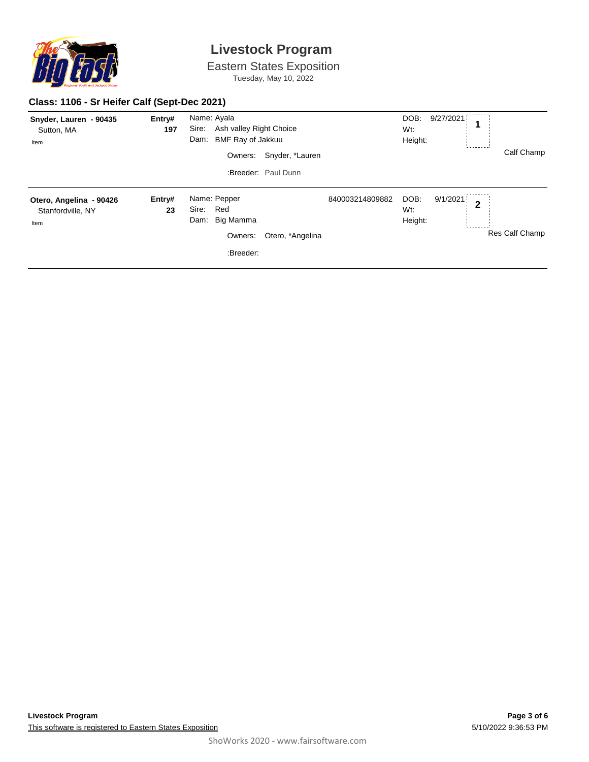

Eastern States Exposition Tuesday, May 10, 2022

#### **Class: 1106 - Sr Heifer Calf (Sept-Dec 2021)**

| Snyder, Lauren - 90435<br>Sutton, MA<br>Item         | Entry#<br>197 | Name: Ayala<br>Sire:<br><b>BMF Ray of Jakkuu</b><br>Dam:<br>Owners:       | Ash valley Right Choice<br>Snyder, *Lauren<br>:Breeder: Paul Dunn |                 | DOB:<br>Wt:<br>Height: | -------<br>9/27/2021<br>1  | Calf Champ     |
|------------------------------------------------------|---------------|---------------------------------------------------------------------------|-------------------------------------------------------------------|-----------------|------------------------|----------------------------|----------------|
| Otero, Angelina - 90426<br>Stanfordville, NY<br>Item | Entry#<br>23  | Name: Pepper<br>Red<br>Sire:<br>Big Mamma<br>Dam:<br>Owners:<br>:Breeder: | Otero, *Angelina                                                  | 840003214809882 | DOB:<br>Wt:<br>Height: | 9/1/2021<br>$\overline{2}$ | Res Calf Champ |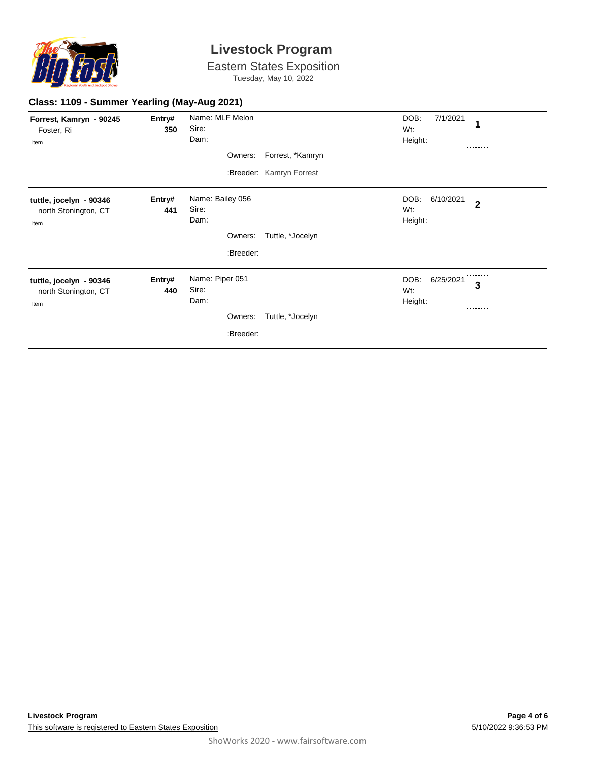

Eastern States Exposition Tuesday, May 10, 2022

| Forrest, Kamryn - 90245<br>Foster, Ri<br>Item           | Entry#<br>350 | Name: MLF Melon<br>Sire:<br>Dam:  |                          | DOB:<br>7/1/2021<br>1<br>Wt:<br>Height:               |
|---------------------------------------------------------|---------------|-----------------------------------|--------------------------|-------------------------------------------------------|
|                                                         |               | Owners:                           | Forrest, *Kamryn         |                                                       |
|                                                         |               |                                   | :Breeder: Kamryn Forrest |                                                       |
| tuttle, jocelyn - 90346<br>north Stonington, CT<br>Item | Entry#<br>441 | Name: Bailey 056<br>Sire:<br>Dam: |                          | DOB:<br>6/10/2021<br>$\overline{2}$<br>Wt:<br>Height: |
|                                                         |               | Owners:                           | Tuttle, *Jocelyn         |                                                       |
|                                                         |               | :Breeder:                         |                          |                                                       |
| tuttle, jocelyn - 90346<br>north Stonington, CT<br>Item | Entry#<br>440 | Name: Piper 051<br>Sire:<br>Dam:  |                          | DOB:<br>6/25/2021<br>$\mathbf{3}$<br>Wt:<br>Height:   |
|                                                         |               | Owners:                           | Tuttle, *Jocelyn         |                                                       |
|                                                         |               | :Breeder:                         |                          |                                                       |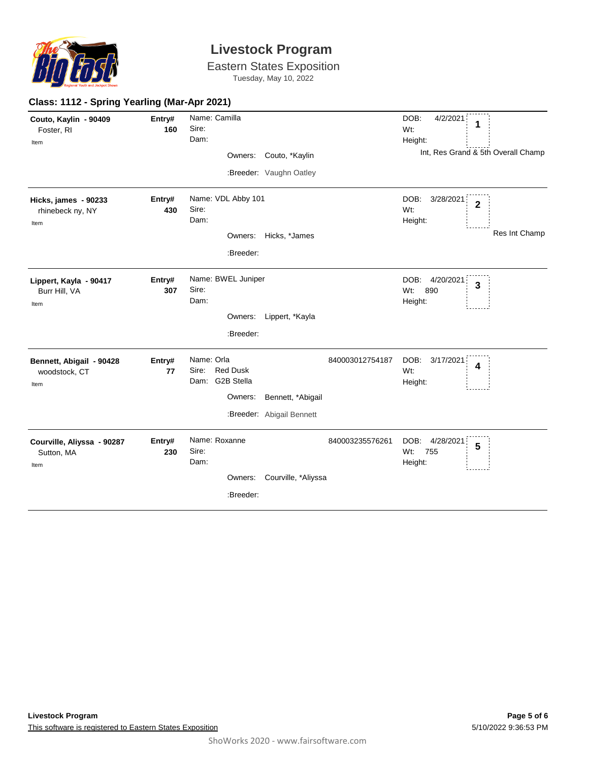

Eastern States Exposition Tuesday, May 10, 2022

#### **Class: 1112 - Spring Yearling (Mar-Apr 2021)**

| Couto, Kaylin - 90409<br>Foster, RI<br>Item     | Entry#<br>160 | Sire:<br>Dam: | Name: Camilla                     |                           |                 | DOB:<br>4/2/2021<br>1<br>Wt:<br>Height:         |
|-------------------------------------------------|---------------|---------------|-----------------------------------|---------------------------|-----------------|-------------------------------------------------|
|                                                 |               |               | Owners:                           | Couto, *Kaylin            |                 | Int, Res Grand & 5th Overall Champ              |
|                                                 |               |               |                                   | :Breeder: Vaughn Oatley   |                 |                                                 |
| Hicks, james - 90233                            | Entry#        |               | Name: VDL Abby 101                |                           |                 | DOB:<br>3/28/2021<br>$\overline{2}$             |
| rhinebeck ny, NY                                | 430           | Sire:<br>Dam: |                                   |                           |                 | Wt:                                             |
| Item                                            |               |               |                                   |                           |                 | Height:<br>Res Int Champ                        |
|                                                 |               |               |                                   | Owners: Hicks, *James     |                 |                                                 |
|                                                 |               |               | :Breeder:                         |                           |                 |                                                 |
| Lippert, Kayla - 90417<br>Burr Hill, VA<br>Item | Entry#<br>307 | Sire:<br>Dam: | Name: BWEL Juniper                |                           |                 | DOB:<br>4/20/2021<br>3<br>Wt:<br>890<br>Height: |
|                                                 |               |               |                                   | Owners: Lippert, *Kayla   |                 |                                                 |
|                                                 |               |               | :Breeder:                         |                           |                 |                                                 |
| Bennett, Abigail - 90428                        | Entry#        | Name: Orla    |                                   |                           | 840003012754187 | DOB:<br>3/17/2021<br>4                          |
| woodstock, CT                                   | 77            |               | Sire: Red Dusk<br>Dam: G2B Stella |                           |                 | Wt:                                             |
| Item                                            |               |               | Owners:                           | Bennett, *Abigail         |                 | Height:                                         |
|                                                 |               |               |                                   |                           |                 |                                                 |
|                                                 |               |               |                                   | :Breeder: Abigail Bennett |                 |                                                 |
| Courville, Aliyssa - 90287                      | Entry#        |               | Name: Roxanne                     |                           | 840003235576261 | DOB:<br>4/28/2021<br>5                          |
| Sutton, MA                                      | 230           | Sire:<br>Dam: |                                   |                           |                 | Wt:<br>755<br>Height:                           |
| Item                                            |               |               | Owners:                           | Courville, *Aliyssa       |                 |                                                 |
|                                                 |               |               |                                   |                           |                 |                                                 |
|                                                 |               |               | :Breeder:                         |                           |                 |                                                 |